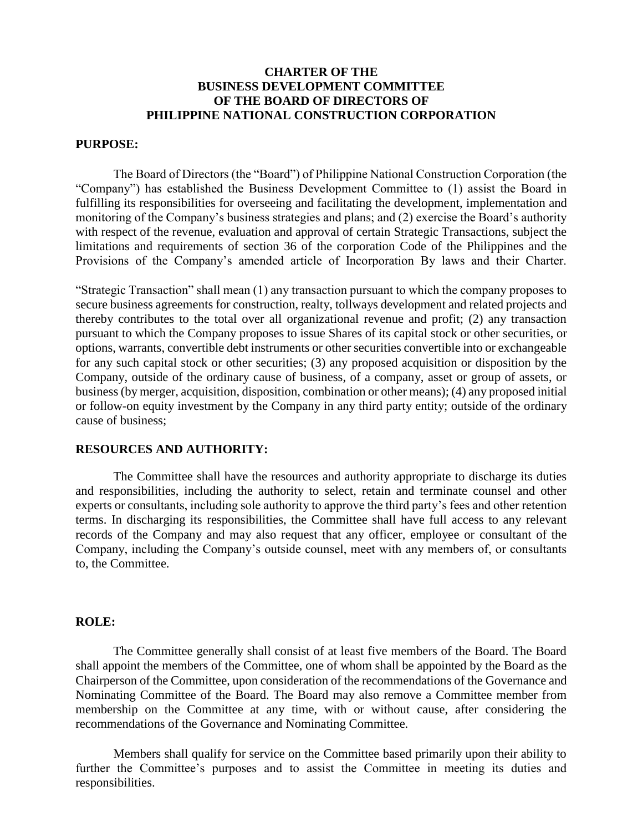# **CHARTER OF THE BUSINESS DEVELOPMENT COMMITTEE OF THE BOARD OF DIRECTORS OF PHILIPPINE NATIONAL CONSTRUCTION CORPORATION**

### **PURPOSE:**

The Board of Directors (the "Board") of Philippine National Construction Corporation (the "Company") has established the Business Development Committee to (1) assist the Board in fulfilling its responsibilities for overseeing and facilitating the development, implementation and monitoring of the Company's business strategies and plans; and (2) exercise the Board's authority with respect of the revenue, evaluation and approval of certain Strategic Transactions, subject the limitations and requirements of section 36 of the corporation Code of the Philippines and the Provisions of the Company's amended article of Incorporation By laws and their Charter.

"Strategic Transaction" shall mean (1) any transaction pursuant to which the company proposes to secure business agreements for construction, realty, tollways development and related projects and thereby contributes to the total over all organizational revenue and profit; (2) any transaction pursuant to which the Company proposes to issue Shares of its capital stock or other securities, or options, warrants, convertible debt instruments or other securities convertible into or exchangeable for any such capital stock or other securities; (3) any proposed acquisition or disposition by the Company, outside of the ordinary cause of business, of a company, asset or group of assets, or business (by merger, acquisition, disposition, combination or other means); (4) any proposed initial or follow-on equity investment by the Company in any third party entity; outside of the ordinary cause of business;

### **RESOURCES AND AUTHORITY:**

The Committee shall have the resources and authority appropriate to discharge its duties and responsibilities, including the authority to select, retain and terminate counsel and other experts or consultants, including sole authority to approve the third party's fees and other retention terms. In discharging its responsibilities, the Committee shall have full access to any relevant records of the Company and may also request that any officer, employee or consultant of the Company, including the Company's outside counsel, meet with any members of, or consultants to, the Committee.

#### **ROLE:**

The Committee generally shall consist of at least five members of the Board. The Board shall appoint the members of the Committee, one of whom shall be appointed by the Board as the Chairperson of the Committee, upon consideration of the recommendations of the Governance and Nominating Committee of the Board. The Board may also remove a Committee member from membership on the Committee at any time, with or without cause, after considering the recommendations of the Governance and Nominating Committee.

Members shall qualify for service on the Committee based primarily upon their ability to further the Committee's purposes and to assist the Committee in meeting its duties and responsibilities.